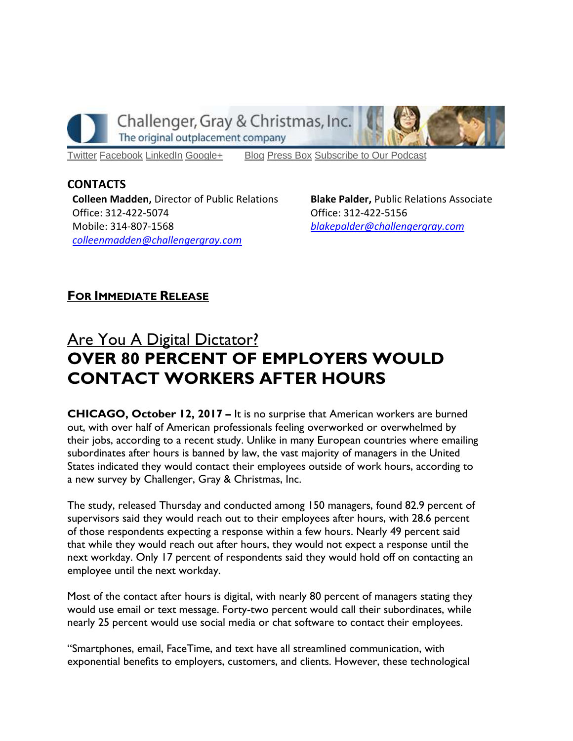

Challenger, Gray & Christmas, Inc.

The original outplacement company

[Twitter](https://twitter.com/#!/ChallengerGray) [Facebook](https://www.facebook.com/ChallengerGray) [LinkedIn](http://www.linkedin.com/company/28264?trk=tyah) [Google+](https://plus.google.com/b/114363499979264115698/114363499979264115698) [Blog](http://www.challengergray.com/press/blog) [Press](http://www.challengergray.com/press/press-releases) Box [Subscribe](https://itunes.apple.com/us/podcast/challenger-podcast-hr-passport/id1155541697?mt=2) to Our Podcast

**CONTACTS Colleen Madden,** Director of Public Relations Office: 312-422-5074 Mobile: 314-807-1568 *[colleenmadden@challengergray.com](mailto:colleenmadden@challengergray.com)* 

**Blake Palder,** Public Relations Associate Office: 312-422-5156 *[blakepalder@challengergray.com](mailto:blakepalder@challengergray.com)*

# **FOR IMMEDIATE RELEASE**

# *Are You A Digital Dictator?* **OVER 80 PERCENT OF EMPLOYERS WOULD CONTACT WORKERS AFTER HOURS**

**CHICAGO, October 12, 2017 –** *It is no surprise that American workers are burned out, with over half of American professionals feeling overworked or overwhelmed by their jobs, according to a recent study. Unlike in many European countries where emailing subordinates after hours is banned by law, the vast majority of managers in the United States indicated they would contact their employees outside of work hours, according to a new survey by Challenger, Gray & Christmas, Inc.* 

*The study, released Thursday and conducted among 150 managers, found 82.9 percent of supervisors said they would reach out to their employees after hours, with 28.6 percent of those respondents expecting a response within a few hours. Nearly 49 percent said that while they would reach out after hours, they would not expect a response until the next workday. Only 17 percent of respondents said they would hold off on contacting an employee until the next workday.*

*Most of the contact after hours is digital, with nearly 80 percent of managers stating they would use email or text message. Forty-two percent would call their subordinates, while nearly 25 percent would use social media or chat software to contact their employees.*

*"Smartphones, email, FaceTime, and text have all streamlined communication, with exponential benefits to employers, customers, and clients. However, these technological*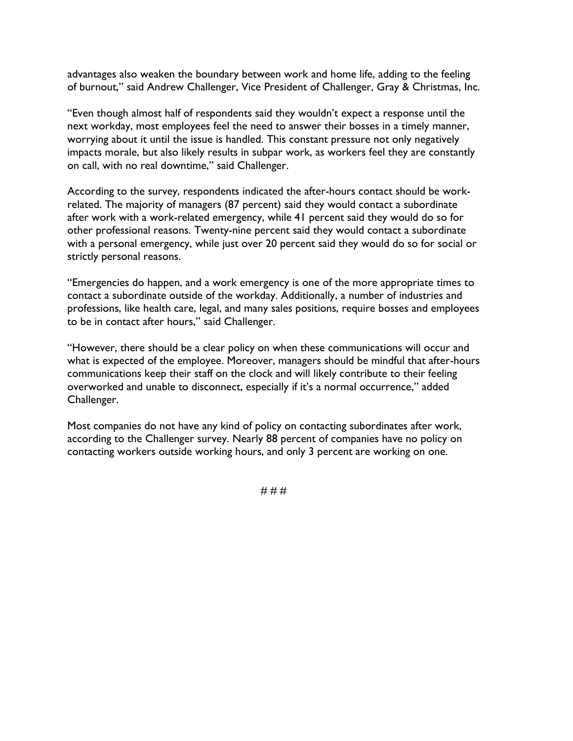*advantages also weaken the boundary between work and home life, adding to the feeling of burnout," said Andrew Challenger, Vice President of Challenger, Gray & Christmas, Inc.*

*"Even though almost half of respondents said they wouldn't expect a response until the next workday, most employees feel the need to answer their bosses in a timely manner, worrying about it until the issue is handled. This constant pressure not only negatively impacts morale, but also likely results in subpar work, as workers feel they are constantly on call, with no real downtime," said Challenger.*

*According to the survey, respondents indicated the after-hours contact should be workrelated. The majority of managers (87 percent) said they would contact a subordinate after work with a work-related emergency, while 41 percent said they would do so for other professional reasons. Twenty-nine percent said they would contact a subordinate with a personal emergency, while just over 20 percent said they would do so for social or strictly personal reasons.*

*"Emergencies do happen, and a work emergency is one of the more appropriate times to contact a subordinate outside of the workday. Additionally, a number of industries and professions, like health care, legal, and many sales positions, require bosses and employees to be in contact after hours," said Challenger.*

*"However, there should be a clear policy on when these communications will occur and what is expected of the employee. Moreover, managers should be mindful that after-hours communications keep their staff on the clock and will likely contribute to their feeling overworked and unable to disconnect, especially if it's a normal occurrence," added Challenger.*

*Most companies do not have any kind of policy on contacting subordinates after work, according to the Challenger survey. Nearly 88 percent of companies have no policy on contacting workers outside working hours, and only 3 percent are working on one.*

*# # #*